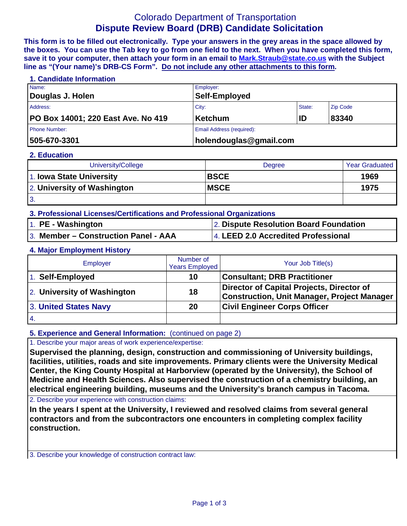# Colorado Department of Transportation **Dispute Review Board (DRB) Candidate Solicitation**

**This form is to be filled out electronically. Type your answers in the grey areas in the space allowed by the boxes. You can use the Tab key to go from one field to the next. When you have completed this form, save it to your computer, then attach your form in an email to [Mark.Straub@state.co.us](mailto:Mark.Straub@state.co.us?subject=Dispute%20Review%20Board%20(DRB)%20Candidate%20Solicitation) with the Subject line as "(Your name)'s DRB-CS Form". Do not include any other attachments to this form.**

## **1. Candidate Information**

| Name:                              | Employer:                        |        |                 |
|------------------------------------|----------------------------------|--------|-----------------|
| Douglas J. Holen                   | <b>Self-Employed</b>             |        |                 |
| Address:                           | City:                            | State: | <b>Zip Code</b> |
| PO Box 14001; 220 East Ave. No 419 | Ketchum                          | ID     | 83340           |
| <b>Phone Number:</b>               | <b>Email Address (required):</b> |        |                 |
| 505-670-3301                       | $ $ holendouglas@gmail.com       |        |                 |

## **2. Education**

| University/College          | Degree       | <b>Year Graduated</b> |
|-----------------------------|--------------|-----------------------|
| 1. Iowa State University    | <b>BSCE</b>  | 1969                  |
| 2. University of Washington | <b>IMSCE</b> | 1975                  |
| 3.                          |              |                       |

- **3. Professional Licenses/Certifications and Professional Organizations**
- 1. **PE - Washington** 2. **Dispute Resolution Board Foundation** 3. **Member – Construction Panel - AAA** 4. **LEED 2.0 Accredited Professional**

## **4. Major Employment History**

| Employer                    | Number of<br><b>Years Employed</b> | Your Job Title(s)                                                                               |
|-----------------------------|------------------------------------|-------------------------------------------------------------------------------------------------|
| 1. Self-Employed            | 10                                 | <b>Consultant: DRB Practitioner</b>                                                             |
| 2. University of Washington | 18                                 | Director of Capital Projects, Director of<br><b>Construction, Unit Manager, Project Manager</b> |
| 3. United States Navy       | 20                                 | <b>Civil Engineer Corps Officer</b>                                                             |
| $\overline{4}$              |                                    |                                                                                                 |

## **5. Experience and General Information:** (continued on page 2)

1. Describe your major areas of work experience/expertise:

**Supervised the planning, design, construction and commissioning of University buildings, facilities, utilities, roads and site improvements. Primary clients were the University Medical Center, the King County Hospital at Harborview (operated by the University), the School of Medicine and Health Sciences. Also supervised the construction of a chemistry building, an electrical engineering building, museums and the University's branch campus in Tacoma.**

2. Describe your experience with construction claims:

**In the years I spent at the University, I reviewed and resolved claims from several general contractors and from the subcontractors one encounters in completing complex facility construction.**

3. Describe your knowledge of construction contract law: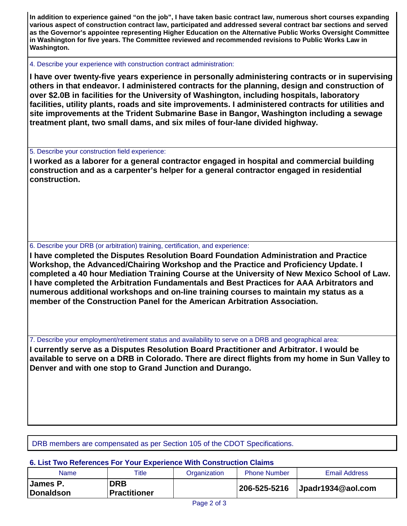**In addition to experience gained "on the job", I have taken basic contract law, numerous short courses expanding various aspect of construction contract law, participated and addressed several contract bar sections and served as the Governor's appointee representing Higher Education on the Alternative Public Works Oversight Committee in Washington for five years. The Committee reviewed and recommended revisions to Public Works Law in Washington.**

4. Describe your experience with construction contract administration:

**I have over twenty-five years experience in personally administering contracts or in supervising others in that endeavor. I administered contracts for the planning, design and construction of over \$2.0B in facilities for the University of Washington, including hospitals, laboratory facilities, utility plants, roads and site improvements. I administered contracts for utilities and site improvements at the Trident Submarine Base in Bangor, Washington including a sewage treatment plant, two small dams, and six miles of four-lane divided highway.**

5. Describe your construction field experience:

**I worked as a laborer for a general contractor engaged in hospital and commercial building construction and as a carpenter's helper for a general contractor engaged in residential construction.**

6. Describe your DRB (or arbitration) training, certification, and experience:

**I have completed the Disputes Resolution Board Foundation Administration and Practice Workshop, the Advanced/Chairing Workshop and the Practice and Proficiency Update. I completed a 40 hour Mediation Training Course at the University of New Mexico School of Law. I have completed the Arbitration Fundamentals and Best Practices for AAA Arbitrators and numerous additional workshops and on-line training courses to maintain my status as a member of the Construction Panel for the American Arbitration Association.**

7. Describe your employment/retirement status and availability to serve on a DRB and geographical area:

**I currently serve as a Disputes Resolution Board Practitioner and Arbitrator. I would be available to serve on a DRB in Colorado. There are direct flights from my home in Sun Valley to Denver and with one stop to Grand Junction and Durango.**

DRB members are compensated as per Section 105 of the CDOT Specifications.

## **6. List Two References For Your Experience With Construction Claims**

| Name                                | Title                      | Organization | <b>Phone Number</b> | <b>Email Address</b> |
|-------------------------------------|----------------------------|--------------|---------------------|----------------------|
| <b>James P.</b><br><b>Donaldson</b> | DRB<br><b>Practitioner</b> |              | 206-525-5216        | Jpadr1934@aol.com    |